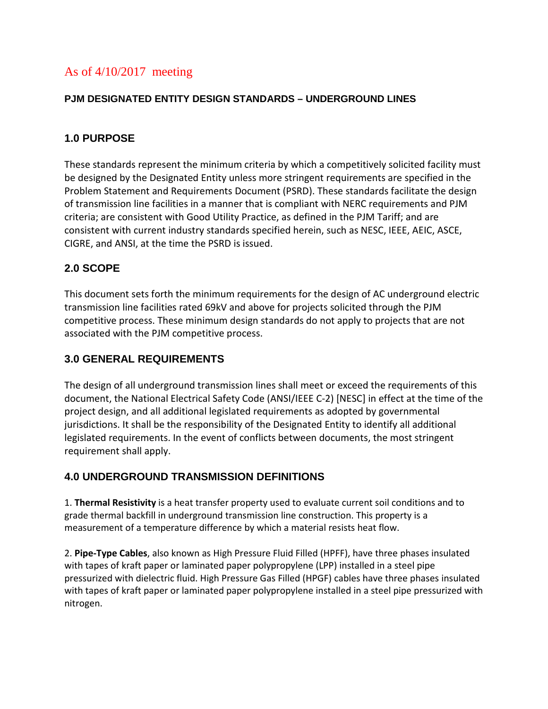# As of 4/10/2017 meeting

### **PJM DESIGNATED ENTITY DESIGN STANDARDS – UNDERGROUND LINES**

## **1.0 PURPOSE**

These standards represent the minimum criteria by which a competitively solicited facility must be designed by the Designated Entity unless more stringent requirements are specified in the Problem Statement and Requirements Document (PSRD). These standards facilitate the design of transmission line facilities in a manner that is compliant with NERC requirements and PJM criteria; are consistent with Good Utility Practice, as defined in the PJM Tariff; and are consistent with current industry standards specified herein, such as NESC, IEEE, AEIC, ASCE, CIGRE, and ANSI, at the time the PSRD is issued.

## **2.0 SCOPE**

This document sets forth the minimum requirements for the design of AC underground electric transmission line facilities rated 69kV and above for projects solicited through the PJM competitive process. These minimum design standards do not apply to projects that are not associated with the PJM competitive process.

## **3.0 GENERAL REQUIREMENTS**

The design of all underground transmission lines shall meet or exceed the requirements of this document, the National Electrical Safety Code (ANSI/IEEE C-2) [NESC] in effect at the time of the project design, and all additional legislated requirements as adopted by governmental jurisdictions. It shall be the responsibility of the Designated Entity to identify all additional legislated requirements. In the event of conflicts between documents, the most stringent requirement shall apply.

## **4.0 UNDERGROUND TRANSMISSION DEFINITIONS**

1. **Thermal Resistivity** is a heat transfer property used to evaluate current soil conditions and to grade thermal backfill in underground transmission line construction. This property is a measurement of a temperature difference by which a material resists heat flow.

2. **Pipe-Type Cables**, also known as High Pressure Fluid Filled (HPFF), have three phases insulated with tapes of kraft paper or laminated paper polypropylene (LPP) installed in a steel pipe pressurized with dielectric fluid. High Pressure Gas Filled (HPGF) cables have three phases insulated with tapes of kraft paper or laminated paper polypropylene installed in a steel pipe pressurized with nitrogen.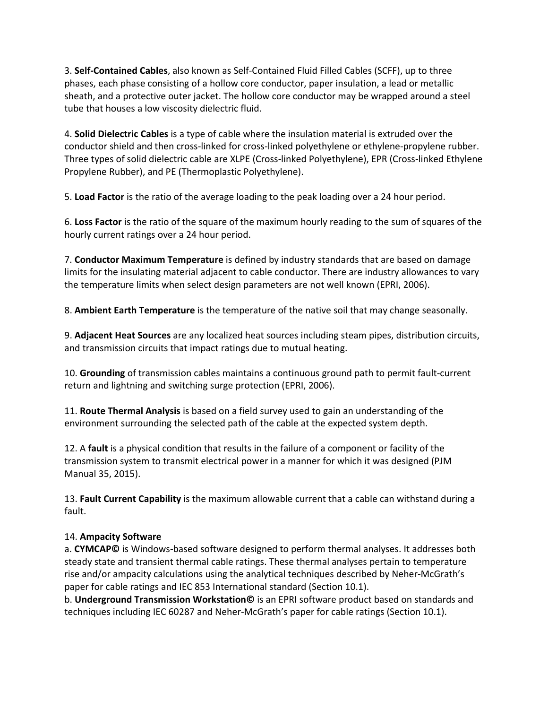3. **Self-Contained Cables**, also known as Self-Contained Fluid Filled Cables (SCFF), up to three phases, each phase consisting of a hollow core conductor, paper insulation, a lead or metallic sheath, and a protective outer jacket. The hollow core conductor may be wrapped around a steel tube that houses a low viscosity dielectric fluid.

4. **Solid Dielectric Cables** is a type of cable where the insulation material is extruded over the conductor shield and then cross-linked for cross-linked polyethylene or ethylene-propylene rubber. Three types of solid dielectric cable are XLPE (Cross-linked Polyethylene), EPR (Cross-linked Ethylene Propylene Rubber), and PE (Thermoplastic Polyethylene).

5. **Load Factor** is the ratio of the average loading to the peak loading over a 24 hour period.

6. **Loss Factor** is the ratio of the square of the maximum hourly reading to the sum of squares of the hourly current ratings over a 24 hour period.

7. **Conductor Maximum Temperature** is defined by industry standards that are based on damage limits for the insulating material adjacent to cable conductor. There are industry allowances to vary the temperature limits when select design parameters are not well known (EPRI, 2006).

8. **Ambient Earth Temperature** is the temperature of the native soil that may change seasonally.

9. **Adjacent Heat Sources** are any localized heat sources including steam pipes, distribution circuits, and transmission circuits that impact ratings due to mutual heating.

10. **Grounding** of transmission cables maintains a continuous ground path to permit fault-current return and lightning and switching surge protection (EPRI, 2006).

11. **Route Thermal Analysis** is based on a field survey used to gain an understanding of the environment surrounding the selected path of the cable at the expected system depth.

12. A **fault** is a physical condition that results in the failure of a component or facility of the transmission system to transmit electrical power in a manner for which it was designed (PJM Manual 35, 2015).

13. **Fault Current Capability** is the maximum allowable current that a cable can withstand during a fault.

### 14. **Ampacity Software**

a. **CYMCAP©** is Windows-based software designed to perform thermal analyses. It addresses both steady state and transient thermal cable ratings. These thermal analyses pertain to temperature rise and/or ampacity calculations using the analytical techniques described by Neher-McGrath's paper for cable ratings and IEC 853 International standard (Section 10.1).

b. **Underground Transmission Workstation©** is an EPRI software product based on standards and techniques including IEC 60287 and Neher-McGrath's paper for cable ratings (Section 10.1).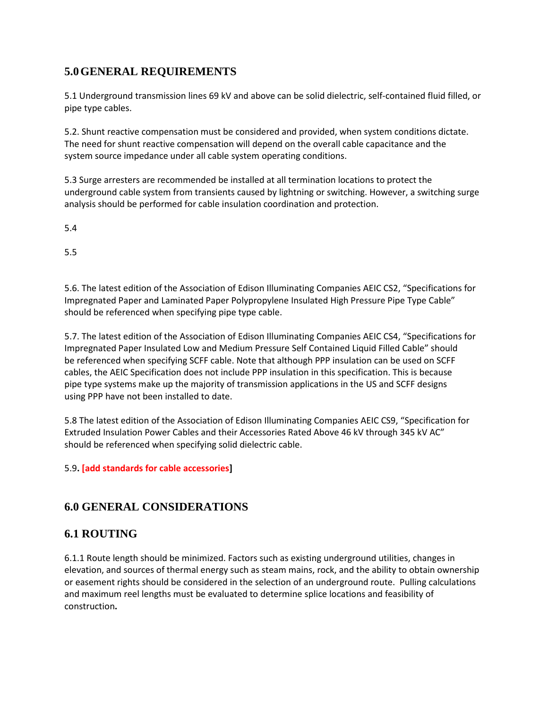## **5.0GENERAL REQUIREMENTS**

5.1 Underground transmission lines 69 kV and above can be solid dielectric, self-contained fluid filled, or pipe type cables.

5.2. Shunt reactive compensation must be considered and provided, when system conditions dictate. The need for shunt reactive compensation will depend on the overall cable capacitance and the system source impedance under all cable system operating conditions.

5.3 Surge arresters are recommended be installed at all termination locations to protect the underground cable system from transients caused by lightning or switching. However, a switching surge analysis should be performed for cable insulation coordination and protection.

5.4

5.5

5.6. The latest edition of the Association of Edison Illuminating Companies AEIC CS2, "Specifications for Impregnated Paper and Laminated Paper Polypropylene Insulated High Pressure Pipe Type Cable" should be referenced when specifying pipe type cable.

5.7. The latest edition of the Association of Edison Illuminating Companies AEIC CS4, "Specifications for Impregnated Paper Insulated Low and Medium Pressure Self Contained Liquid Filled Cable" should be referenced when specifying SCFF cable. Note that although PPP insulation can be used on SCFF cables, the AEIC Specification does not include PPP insulation in this specification. This is because pipe type systems make up the majority of transmission applications in the US and SCFF designs using PPP have not been installed to date.

5.8 The latest edition of the Association of Edison Illuminating Companies AEIC CS9, "Specification for Extruded Insulation Power Cables and their Accessories Rated Above 46 kV through 345 kV AC" should be referenced when specifying solid dielectric cable.

### 5.9**. [add standards for cable accessories]**

## **6.0 GENERAL CONSIDERATIONS**

## **6.1 ROUTING**

6.1.1 Route length should be minimized. Factors such as existing underground utilities, changes in elevation, and sources of thermal energy such as steam mains, rock, and the ability to obtain ownership or easement rights should be considered in the selection of an underground route. Pulling calculations and maximum reel lengths must be evaluated to determine splice locations and feasibility of construction**.**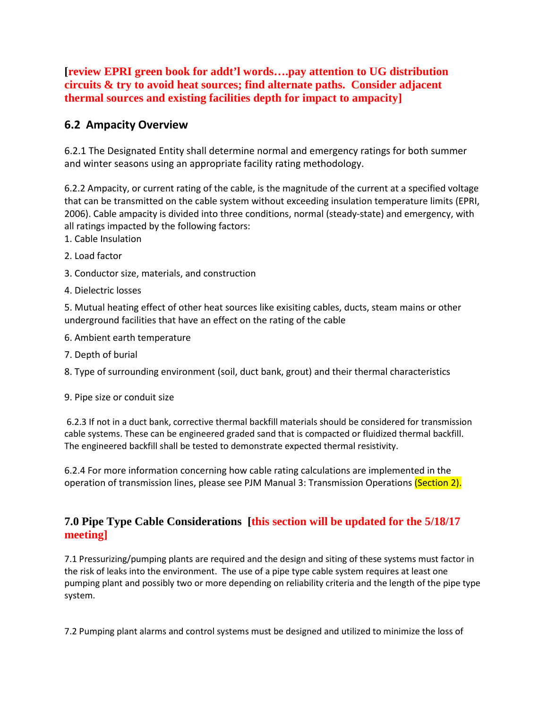**[review EPRI green book for addt'l words….pay attention to UG distribution circuits & try to avoid heat sources; find alternate paths. Consider adjacent thermal sources and existing facilities depth for impact to ampacity]**

## **6.2 Ampacity Overview**

6.2.1 The Designated Entity shall determine normal and emergency ratings for both summer and winter seasons using an appropriate facility rating methodology.

6.2.2 Ampacity, or current rating of the cable, is the magnitude of the current at a specified voltage that can be transmitted on the cable system without exceeding insulation temperature limits (EPRI, 2006). Cable ampacity is divided into three conditions, normal (steady-state) and emergency, with all ratings impacted by the following factors:

- 1. Cable Insulation
- 2. Load factor
- 3. Conductor size, materials, and construction
- 4. Dielectric losses

5. Mutual heating effect of other heat sources like exisiting cables, ducts, steam mains or other underground facilities that have an effect on the rating of the cable

- 6. Ambient earth temperature
- 7. Depth of burial
- 8. Type of surrounding environment (soil, duct bank, grout) and their thermal characteristics
- 9. Pipe size or conduit size

6.2.3 If not in a duct bank, corrective thermal backfill materials should be considered for transmission cable systems. These can be engineered graded sand that is compacted or fluidized thermal backfill. The engineered backfill shall be tested to demonstrate expected thermal resistivity.

6.2.4 For more information concerning how cable rating calculations are implemented in the operation of transmission lines, please see PJM Manual 3: Transmission Operations (Section 2).

## **7.0 Pipe Type Cable Considerations [this section will be updated for the 5/18/17 meeting]**

7.1 Pressurizing/pumping plants are required and the design and siting of these systems must factor in the risk of leaks into the environment. The use of a pipe type cable system requires at least one pumping plant and possibly two or more depending on reliability criteria and the length of the pipe type system.

7.2 Pumping plant alarms and control systems must be designed and utilized to minimize the loss of